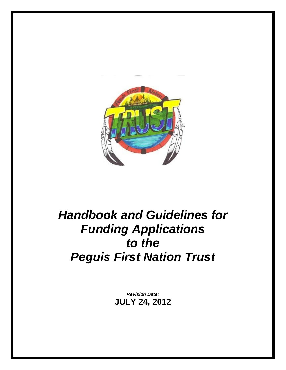

# *Handbook and Guidelines for Funding Applications to the Peguis First Nation Trust*

*Revision Date:* **JULY 24, 2012**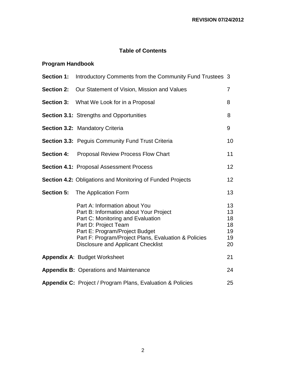## **Table of Contents**

# **Program Handbook**

| <b>Section 1:</b> | Introductory Comments from the Community Fund Trustees 3                                                                                                                                                                                                                    |                                        |  |  |  |
|-------------------|-----------------------------------------------------------------------------------------------------------------------------------------------------------------------------------------------------------------------------------------------------------------------------|----------------------------------------|--|--|--|
| <b>Section 2:</b> | Our Statement of Vision, Mission and Values                                                                                                                                                                                                                                 |                                        |  |  |  |
|                   | <b>Section 3:</b> What We Look for in a Proposal                                                                                                                                                                                                                            | 8                                      |  |  |  |
|                   | <b>Section 3.1:</b> Strengths and Opportunities                                                                                                                                                                                                                             | 8                                      |  |  |  |
|                   | <b>Section 3.2: Mandatory Criteria</b>                                                                                                                                                                                                                                      | 9                                      |  |  |  |
|                   | <b>Section 3.3: Peguis Community Fund Trust Criteria</b>                                                                                                                                                                                                                    | 10                                     |  |  |  |
| <b>Section 4:</b> | <b>Proposal Review Process Flow Chart</b>                                                                                                                                                                                                                                   | 11                                     |  |  |  |
|                   | <b>Section 4.1: Proposal Assessment Process</b>                                                                                                                                                                                                                             | 12                                     |  |  |  |
|                   | <b>Section 4.2: Obligations and Monitoring of Funded Projects</b>                                                                                                                                                                                                           | 12                                     |  |  |  |
| <b>Section 5:</b> | The Application Form                                                                                                                                                                                                                                                        | 13                                     |  |  |  |
|                   | Part A: Information about You<br>Part B: Information about Your Project<br>Part C: Monitoring and Evaluation<br>Part D: Project Team<br>Part E: Program/Project Budget<br>Part F: Program/Project Plans, Evaluation & Policies<br><b>Disclosure and Applicant Checklist</b> | 13<br>13<br>18<br>18<br>19<br>19<br>20 |  |  |  |
|                   | Appendix A: Budget Worksheet                                                                                                                                                                                                                                                | 21                                     |  |  |  |
|                   | <b>Appendix B: Operations and Maintenance</b>                                                                                                                                                                                                                               | 24                                     |  |  |  |
|                   | <b>Appendix C:</b> Project / Program Plans, Evaluation & Policies                                                                                                                                                                                                           | 25                                     |  |  |  |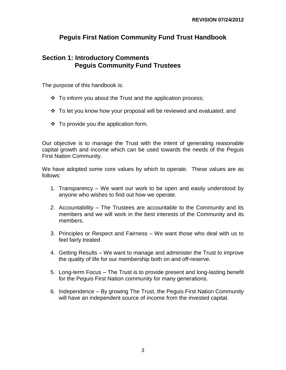## **Peguis First Nation Community Fund Trust Handbook**

## **Section 1: Introductory Comments Peguis Community Fund Trustees**

The purpose of this handbook is:

- $\div$  To inform you about the Trust and the application process;
- To let you know how your proposal will be reviewed and evaluated; and
- $\div$  To provide you the application form.

Our objective is to manage the Trust with the intent of generating reasonable capital growth and income which can be used towards the needs of the Peguis First Nation Community.

We have adopted some core values by which to operate. These values are as follows:

- 1. Transparency We want our work to be open and easily understood by anyone who wishes to find out how we operate.
- 2. Accountability The Trustees are accountable to the Community and its members and we will work in the best interests of the Community and its members.
- 3. Principles or Respect and Fairness We want those who deal with us to feel fairly treated
- 4. Getting Results We want to manage and administer the Trust to improve the quality of life for our membership both on and off-reserve.
- 5. Long-term Focus The Trust is to provide present and long-lasting benefit for the Peguis First Nation community for many generations.
- 6. Independence By growing The Trust, the Peguis First Nation Community will have an independent source of income from the invested capital.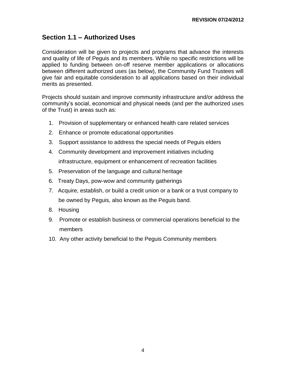## **Section 1.1 – Authorized Uses**

Consideration will be given to projects and programs that advance the interests and quality of life of Peguis and its members. While no specific restrictions will be applied to funding between on-off reserve member applications or allocations between different authorized uses (as below), the Community Fund Trustees will give fair and equitable consideration to all applications based on their individual merits as presented.

Projects should sustain and improve community infrastructure and/or address the community's social, economical and physical needs (and per the authorized uses of the Trust) in areas such as:

- 1. Provision of supplementary or enhanced health care related services
- 2. Enhance or promote educational opportunities
- 3. Support assistance to address the special needs of Peguis elders
- 4. Community development and improvement initiatives including infrastructure, equipment or enhancement of recreation facilities
- 5. Preservation of the language and cultural heritage
- 6. Treaty Days, pow-wow and community gatherings
- 7. Acquire, establish, or build a credit union or a bank or a trust company to be owned by Peguis, also known as the Peguis band.
- 8. Housing
- 9. Promote or establish business or commercial operations beneficial to the members
- 10. Any other activity beneficial to the Peguis Community members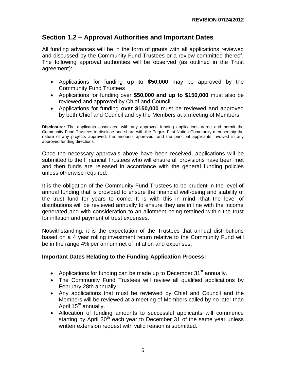## **Section 1.2 – Approval Authorities and Important Dates**

All funding advances will be in the form of grants with all applications reviewed and discussed by the Community Fund Trustees or a review committee thereof. The following approval authorities will be observed (as outlined in the Trust agreement):

- Applications for funding **up to \$50,000** may be approved by the Community Fund Trustees
- Applications for funding over **\$50,000 and up to \$150,000** must also be reviewed and approved by Chief and Council
- Applications for funding **over \$150,000** must be reviewed and approved by both Chief and Council and by the Members at a meeting of Members.

**Disclosure:** The applicants associated with any approved funding applications agree and permit the Community Fund Trustees to disclose and share with the Peguis First Nation Community membership the nature of any projects approved; the amounts approved; and the principal applicants involved in any approved funding directions.

Once the necessary approvals above have been received, applications will be submitted to the Financial Trustees who will ensure all provisions have been met and then funds are released in accordance with the general funding policies unless otherwise required.

It is the obligation of the Community Fund Trustees to be prudent in the level of annual funding that is provided to ensure the financial well-being and stability of the trust fund for years to come. It is with this in mind, that the level of distributions will be reviewed annually to ensure they are in line with the income generated and with consideration to an allotment being retained within the trust for inflation and payment of trust expenses.

Notwithstanding, it is the expectation of the Trustees that annual distributions based on a 4 year rolling investment return relative to the Community Fund will be in the range 4% per annum net of inflation and expenses.

#### **Important Dates Relating to the Funding Application Process:**

- Applications for funding can be made up to December  $31<sup>st</sup>$  annually.
- The Community Fund Trustees will review all qualified applications by February 28th annually.
- Any applications that must be reviewed by Chief and Council and the Members will be reviewed at a meeting of Members called by no later than April 15<sup>th</sup> annually.
- Allocation of funding amounts to successful applicants will commence starting by April  $30<sup>th</sup>$  each year to December 31 of the same year unless written extension request with valid reason is submitted.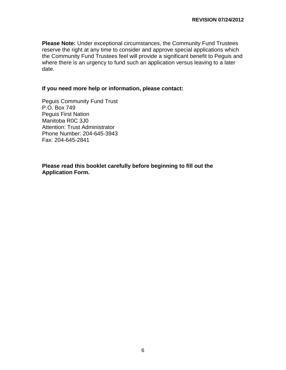**Please Note:** Under exceptional circumstances, the Community Fund Trustees reserve the right at any time to consider and approve special applications which the Community Fund Trustees feel will provide a significant benefit to Peguis and where there is an urgency to fund such an application versus leaving to a later date.

#### **If you need more help or information, please contact:**

Peguis Community Fund Trust P.O. Box 749 Peguis First Nation Manitoba R0C 3J0 Attention: Trust Administrator Phone Number: 204-645-3943 Fax: 204-645-2841

**Please read this booklet carefully before beginning to fill out the Application Form.**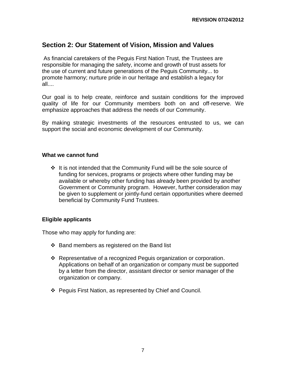## **Section 2: Our Statement of Vision, Mission and Values**

As financial caretakers of the Peguis First Nation Trust, the Trustees are responsible for managing the safety, income and growth of trust assets for the use of current and future generations of the Peguis Community... to promote harmony; nurture pride in our heritage and establish a legacy for all....

Our goal is to help create, reinforce and sustain conditions for the improved quality of life for our Community members both on and off-reserve. We emphasize approaches that address the needs of our Community.

By making strategic investments of the resources entrusted to us, we can support the social and economic development of our Community.

#### **What we cannot fund**

 $\div$  It is not intended that the Community Fund will be the sole source of funding for services, programs or projects where other funding may be available or whereby other funding has already been provided by another Government or Community program. However, further consideration may be given to supplement or jointly-fund certain opportunities where deemed beneficial by Community Fund Trustees.

#### **Eligible applicants**

Those who may apply for funding are:

- $\div$  Band members as registered on the Band list
- Representative of a recognized Peguis organization or corporation. Applications on behalf of an organization or company must be supported by a letter from the director, assistant director or senior manager of the organization or company.
- Peguis First Nation, as represented by Chief and Council.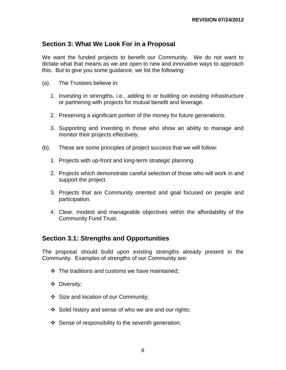## **Section 3: What We Look For in a Proposal**

We want the funded projects to benefit our Community. We do not want to dictate what that means as we are open to new and innovative ways to approach this. But to give you some guidance, we list the following:

- (a). The Trustees believe in:
	- 1. Investing in strengths, i.e., adding to or building on existing infrastructure or partnering with projects for mutual benefit and leverage.
	- 2. Preserving a significant portion of the money for future generations.
	- 3. Supporting and investing in those who show an ability to manage and monitor their projects effectively.
- (b). These are some principles of project success that we will follow:
	- 1. Projects with up-front and long-term strategic planning.
	- 2. Projects which demonstrate careful selection of those who will work in and support the project.
	- 3. Projects that are Community oriented and goal focused on people and participation.
	- 4. Clear, modest and manageable objectives within the affordability of the Community Fund Trust.

#### **Section 3.1: Strengths and Opportunities**

The proposal should build upon existing strengths already present in the Community. Examples of strengths of our Community are:

- $\div$  The traditions and customs we have maintained:
- Diversity;
- Size and location of our Community;
- $\div$  Solid history and sense of who we are and our rights;
- $\div$  Sense of responsibility to the seventh generation;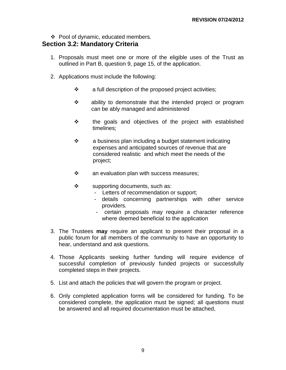❖ Pool of dynamic, educated members.

## **Section 3.2: Mandatory Criteria**

- 1. Proposals must meet one or more of the eligible uses of the Trust as outlined in Part B, question 9, page 15, of the application.
- 2. Applications must include the following:
	- $\mathbf{\hat{P}}$  a full description of the proposed project activities;
	- **❖** ability to demonstrate that the intended project or program can be ably managed and administered
	- $\div$  the goals and objectives of the project with established timelines;
	- $\cdot \cdot$  a business plan including a budget statement indicating expenses and anticipated sources of revenue that are considered realistic and which meet the needs of the project;
	- $\mathbf{\hat{P}}$  an evaluation plan with success measures;
	- $\div$  supporting documents, such as:
		- Letters of recommendation or support;
		- details concerning partnerships with other service providers.
		- certain proposals may require a character reference where deemed beneficial to the application
- 3. The Trustees **may** require an applicant to present their proposal in a public forum for all members of the community to have an opportunity to hear, understand and ask questions.
- 4. Those Applicants seeking further funding will require evidence of successful completion of previously funded projects or successfully completed steps in their projects.
- 5. List and attach the policies that will govern the program or project.
- 6. Only completed application forms will be considered for funding. To be considered complete, the application must be signed; all questions must be answered and all required documentation must be attached,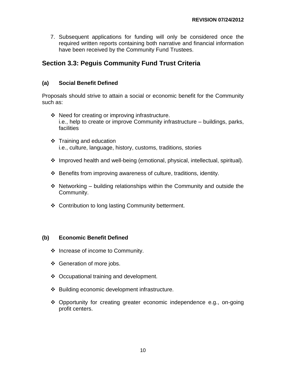7. Subsequent applications for funding will only be considered once the required written reports containing both narrative and financial information have been received by the Community Fund Trustees.

## **Section 3.3: Peguis Community Fund Trust Criteria**

#### **(a) Social Benefit Defined**

Proposals should strive to attain a social or economic benefit for the Community such as:

- ❖ Need for creating or improving infrastructure. i.e., help to create or improve Community infrastructure – buildings, parks, facilities
- $\div$  Training and education i.e., culture, language, history, customs, traditions, stories
- $\div$  Improved health and well-being (emotional, physical, intellectual, spiritual).
- $\div$  Benefits from improving awareness of culture, traditions, identity.
- $\cdot$  Networking building relationships within the Community and outside the Community.
- ❖ Contribution to long lasting Community betterment.

#### **(b) Economic Benefit Defined**

- $\div$  Increase of income to Community.
- ❖ Generation of more jobs.
- ❖ Occupational training and development.
- Building economic development infrastructure.
- Opportunity for creating greater economic independence e.g., on-going profit centers.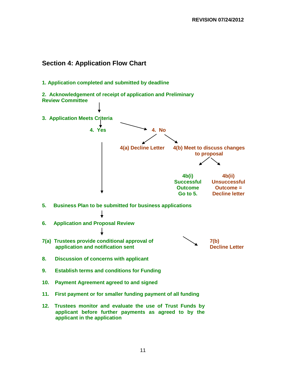## **Section 4: Application Flow Chart**

**1. Application completed and submitted by deadline**

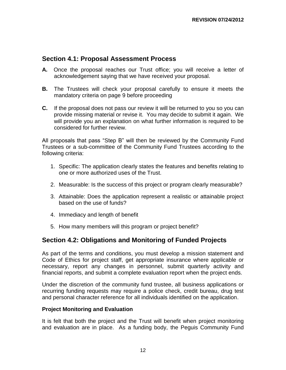## **Section 4.1: Proposal Assessment Process**

- **A.** Once the proposal reaches our Trust office; you will receive a letter of acknowledgement saying that we have received your proposal.
- **B.** The Trustees will check your proposal carefully to ensure it meets the mandatory criteria on page 9 before proceeding
- **C.** If the proposal does not pass our review it will be returned to you so you can provide missing material or revise it. You may decide to submit it again. We will provide you an explanation on what further information is required to be considered for further review.

All proposals that pass "Step B" will then be reviewed by the Community Fund Trustees or a sub-committee of the Community Fund Trustees according to the following criteria:

- 1. Specific: The application clearly states the features and benefits relating to one or more authorized uses of the Trust.
- 2. Measurable: Is the success of this project or program clearly measurable?
- 3. Attainable: Does the application represent a realistic or attainable project based on the use of funds?
- 4. Immediacy and length of benefit
- 5. How many members will this program or project benefit?

## **Section 4.2: Obligations and Monitoring of Funded Projects**

As part of the terms and conditions, you must develop a mission statement and Code of Ethics for project staff, get appropriate insurance where applicable or necessary, report any changes in personnel, submit quarterly activity and financial reports, and submit a complete evaluation report when the project ends.

Under the discretion of the community fund trustee, all business applications or recurring funding requests may require a police check, credit bureau, drug test and personal character reference for all individuals identified on the application.

#### **Project Monitoring and Evaluation**

It is felt that both the project and the Trust will benefit when project monitoring and evaluation are in place. As a funding body, the Peguis Community Fund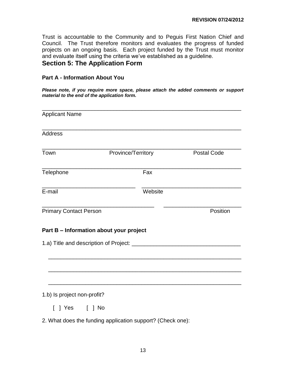Trust is accountable to the Community and to Peguis First Nation Chief and Council. The Trust therefore monitors and evaluates the progress of funded projects on an ongoing basis. Each project funded by the Trust must monitor and evaluate itself using the criteria we've established as a guideline. **Section 5: The Application Form**

#### **Part A - Information About You**

*Please note, if you require more space, please attach the added comments or support material to the end of the application form.*

| <b>Applicant Name</b>                                      |                    |         |                    |
|------------------------------------------------------------|--------------------|---------|--------------------|
| Address                                                    |                    |         |                    |
| Town                                                       | Province/Territory |         | <b>Postal Code</b> |
| Telephone                                                  |                    | Fax     |                    |
| E-mail                                                     |                    | Website |                    |
| <b>Primary Contact Person</b>                              |                    |         | Position           |
| Part B - Information about your project                    |                    |         |                    |
|                                                            |                    |         |                    |
|                                                            |                    |         |                    |
|                                                            |                    |         |                    |
| 1.b) Is project non-profit?                                |                    |         |                    |
|                                                            |                    |         |                    |
| 2. What does the funding application support? (Check one): |                    |         |                    |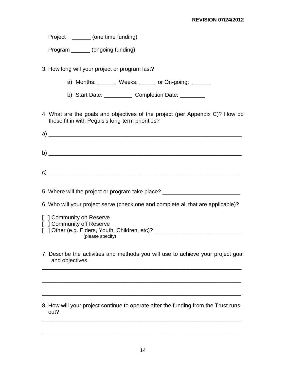| (one time funding) |
|--------------------|
|                    |

Program \_\_\_\_\_\_ (ongoing funding)

3. How long will your project or program last?

a) Months: Weeks: or On-going:

b) Start Date: Completion Date:

4. What are the goals and objectives of the project (per Appendix C)? How do these fit in with Peguis's long-term priorities?

a)  $\rightarrow$ b)  $c)$ 

5. Where will the project or program take place?

6. Who will your project serve (check one and complete all that are applicable)?

[ ] Community on Reserve [ **] Community off Reserve** 

- [ ] Other (e.g. Elders, Youth, Children, etc)? \_\_\_\_\_\_\_\_\_\_\_\_\_\_\_\_\_\_\_\_\_\_\_\_\_\_\_\_\_\_\_\_\_ (please specify)
- 7. Describe the activities and methods you will use to achieve your project goal and objectives.

\_\_\_\_\_\_\_\_\_\_\_\_\_\_\_\_\_\_\_\_\_\_\_\_\_\_\_\_\_\_\_\_\_\_\_\_\_\_\_\_\_\_\_\_\_\_\_\_\_\_\_\_\_\_\_\_\_\_\_\_\_\_\_\_

\_\_\_\_\_\_\_\_\_\_\_\_\_\_\_\_\_\_\_\_\_\_\_\_\_\_\_\_\_\_\_\_\_\_\_\_\_\_\_\_\_\_\_\_\_\_\_\_\_\_\_\_\_\_\_\_\_\_\_\_\_\_\_\_

#### 8. How will your project continue to operate after the funding from the Trust runs out? \_\_\_\_\_\_\_\_\_\_\_\_\_\_\_\_\_\_\_\_\_\_\_\_\_\_\_\_\_\_\_\_\_\_\_\_\_\_\_\_\_\_\_\_\_\_\_\_\_\_\_\_\_\_\_\_\_\_\_\_\_\_\_\_

\_\_\_\_\_\_\_\_\_\_\_\_\_\_\_\_\_\_\_\_\_\_\_\_\_\_\_\_\_\_\_\_\_\_\_\_\_\_\_\_\_\_\_\_\_\_\_\_\_\_\_\_\_\_\_\_\_\_\_\_\_\_\_\_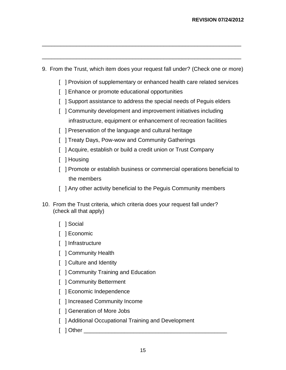9. From the Trust, which item does your request fall under? (Check one or more)

\_\_\_\_\_\_\_\_\_\_\_\_\_\_\_\_\_\_\_\_\_\_\_\_\_\_\_\_\_\_\_\_\_\_\_\_\_\_\_\_\_\_\_\_\_\_\_\_\_\_\_\_\_\_\_\_\_\_\_\_\_\_\_\_

\_\_\_\_\_\_\_\_\_\_\_\_\_\_\_\_\_\_\_\_\_\_\_\_\_\_\_\_\_\_\_\_\_\_\_\_\_\_\_\_\_\_\_\_\_\_\_\_\_\_\_\_\_\_\_\_\_\_\_\_\_\_\_\_

- [ ] Provision of supplementary or enhanced health care related services
- [ ] Enhance or promote educational opportunities
- [ ] Support assistance to address the special needs of Pequis elders
- [ ] Community development and improvement initiatives including infrastructure, equipment or enhancement of recreation facilities
- [ ] Preservation of the language and cultural heritage
- [ ] Treaty Days, Pow-wow and Community Gatherings
- [ ] Acquire, establish or build a credit union or Trust Company
- [ ] Housing
- [ ] Promote or establish business or commercial operations beneficial to the members
- [ ] Any other activity beneficial to the Pequis Community members
- 10. From the Trust criteria, which criteria does your request fall under? (check all that apply)
	- [ ] Social
	- [ ] Economic
	- [ ] Infrastructure
	- [ ] Community Health
	- [ ] Culture and Identity
	- [ ] Community Training and Education
	- [ ] Community Betterment
	- [ ] Economic Independence
	- [ ] Increased Community Income
	- [ ] Generation of More Jobs
	- [ ] Additional Occupational Training and Development
	- [ ] Other \_\_\_\_\_\_\_\_\_\_\_\_\_\_\_\_\_\_\_\_\_\_\_\_\_\_\_\_\_\_\_\_\_\_\_\_\_\_\_\_\_\_\_\_\_\_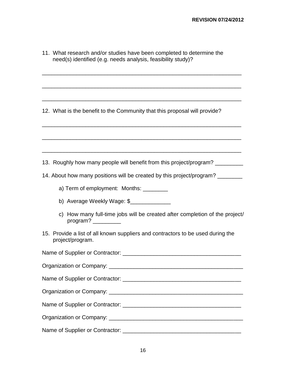| 11. What research and/or studies have been completed to determine the<br>need(s) identified (e.g. needs analysis, feasibility study)?                       |
|-------------------------------------------------------------------------------------------------------------------------------------------------------------|
| 12. What is the benefit to the Community that this proposal will provide?<br><u> 1989 - Johann Stoff, amerikansk politiker (d. 1989)</u>                    |
|                                                                                                                                                             |
| 13. Roughly how many people will benefit from this project/program? ___________                                                                             |
| 14. About how many positions will be created by this project/program?                                                                                       |
| a) Term of employment: Months: _________                                                                                                                    |
|                                                                                                                                                             |
| c) How many full-time jobs will be created after completion of the project/<br>program? $\frac{1}{\sqrt{1-\frac{1}{2}}\cdot\frac{1}{\sqrt{1-\frac{1}{2}}}}$ |
| 15. Provide a list of all known suppliers and contractors to be used during the<br>project/program.                                                         |
|                                                                                                                                                             |
|                                                                                                                                                             |
|                                                                                                                                                             |
|                                                                                                                                                             |
|                                                                                                                                                             |
|                                                                                                                                                             |
|                                                                                                                                                             |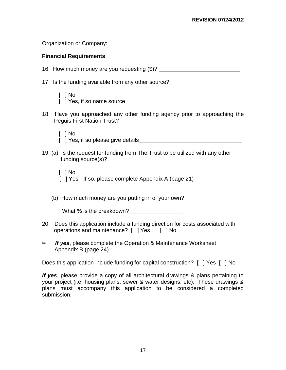| <b>Financial Requirements</b>                                                                                                    |
|----------------------------------------------------------------------------------------------------------------------------------|
|                                                                                                                                  |
| 17. Is the funding available from any other source?                                                                              |
| $\lceil$   No                                                                                                                    |
| Have you approached any other funding agency prior to approaching the<br>18.<br><b>Peguis First Nation Trust?</b>                |
| $\lceil$   No                                                                                                                    |
| 19. (a) Is the request for funding from The Trust to be utilized with any other<br>funding source(s)?                            |
| $\lceil$   No<br>[ ] Yes - If so, please complete Appendix A (page 21)                                                           |
| (b) How much money are you putting in of your own?                                                                               |
| What % is the breakdown?                                                                                                         |
| Does this application include a funding direction for costs associated with<br>20.<br>operations and maintenance? [ ] Yes [ ] No |
| If yes, please complete the Operation & Maintenance Worksheet<br>$\Rightarrow$<br>Appendix B (page 24)                           |

Does this application include funding for capital construction? [ ] Yes [ ] No

*If yes*, please provide a copy of all architectural drawings & plans pertaining to your project (i.e. housing plans, sewer & water designs, etc). These drawings & plans must accompany this application to be considered a completed submission.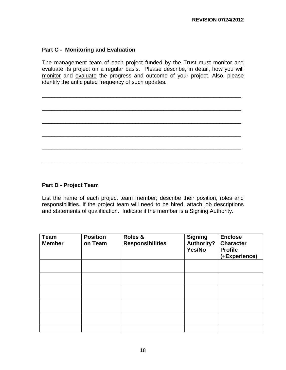#### **Part C - Monitoring and Evaluation**

The management team of each project funded by the Trust must monitor and evaluate its project on a regular basis. Please describe, in detail, how you will monitor and evaluate the progress and outcome of your project. Also, please identify the anticipated frequency of such updates.

\_\_\_\_\_\_\_\_\_\_\_\_\_\_\_\_\_\_\_\_\_\_\_\_\_\_\_\_\_\_\_\_\_\_\_\_\_\_\_\_\_\_\_\_\_\_\_\_\_\_\_\_\_\_\_\_\_\_\_\_\_\_\_\_

\_\_\_\_\_\_\_\_\_\_\_\_\_\_\_\_\_\_\_\_\_\_\_\_\_\_\_\_\_\_\_\_\_\_\_\_\_\_\_\_\_\_\_\_\_\_\_\_\_\_\_\_\_\_\_\_\_\_\_\_\_\_\_\_

\_\_\_\_\_\_\_\_\_\_\_\_\_\_\_\_\_\_\_\_\_\_\_\_\_\_\_\_\_\_\_\_\_\_\_\_\_\_\_\_\_\_\_\_\_\_\_\_\_\_\_\_\_\_\_\_\_\_\_\_\_\_\_\_

\_\_\_\_\_\_\_\_\_\_\_\_\_\_\_\_\_\_\_\_\_\_\_\_\_\_\_\_\_\_\_\_\_\_\_\_\_\_\_\_\_\_\_\_\_\_\_\_\_\_\_\_\_\_\_\_\_\_\_\_\_\_\_\_

\_\_\_\_\_\_\_\_\_\_\_\_\_\_\_\_\_\_\_\_\_\_\_\_\_\_\_\_\_\_\_\_\_\_\_\_\_\_\_\_\_\_\_\_\_\_\_\_\_\_\_\_\_\_\_\_\_\_\_\_\_\_\_\_

\_\_\_\_\_\_\_\_\_\_\_\_\_\_\_\_\_\_\_\_\_\_\_\_\_\_\_\_\_\_\_\_\_\_\_\_\_\_\_\_\_\_\_\_\_\_\_\_\_\_\_\_\_\_\_\_\_\_\_\_\_\_\_\_

#### **Part D - Project Team**

List the name of each project team member; describe their position, roles and responsibilities. If the project team will need to be hired, attach job descriptions and statements of qualification. Indicate if the member is a Signing Authority.

| <b>Team</b><br><b>Member</b> | <b>Position</b><br>on Team | Roles &<br><b>Responsibilities</b> | <b>Signing</b><br><b>Authority?</b><br>Yes/No | <b>Enclose</b><br><b>Character</b><br><b>Profile</b><br>(+Experience) |
|------------------------------|----------------------------|------------------------------------|-----------------------------------------------|-----------------------------------------------------------------------|
|                              |                            |                                    |                                               |                                                                       |
|                              |                            |                                    |                                               |                                                                       |
|                              |                            |                                    |                                               |                                                                       |
|                              |                            |                                    |                                               |                                                                       |
|                              |                            |                                    |                                               |                                                                       |
|                              |                            |                                    |                                               |                                                                       |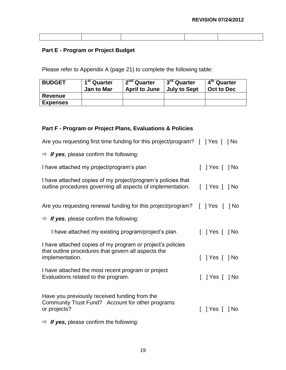## **Part E - Program or Project Budget**

Please refer to Appendix A (page 21) to complete the following table:

| <b>BUDGET</b>   | 1 <sup>st</sup> Quarter<br><b>Jan to Mar</b> | 2 <sup>nd</sup> Quarter<br><b>April to June</b> | 3 <sup>rd</sup> Quarter<br><b>July to Sept</b> | 4 <sup>th</sup> Quarter<br>Oct to Dec |
|-----------------|----------------------------------------------|-------------------------------------------------|------------------------------------------------|---------------------------------------|
| <b>Revenue</b>  |                                              |                                                 |                                                |                                       |
| <b>Expenses</b> |                                              |                                                 |                                                |                                       |

#### **Part F - Program or Project Plans, Evaluations & Policies**

| Are you requesting first time funding for this project/program? [ ] Yes [ ] No                                                       |                |
|--------------------------------------------------------------------------------------------------------------------------------------|----------------|
| $\Rightarrow$ If yes, please confirm the following:                                                                                  |                |
| I have attached my project/program's plan                                                                                            | [ ] Yes [ ] No |
| I have attached copies of my project/program's policies that<br>outline procedures governing all aspects of implementation.          | [ ] Yes [ ] No |
| Are you requesting renewal funding for this project/program? [ ] Yes [                                                               | 1 No           |
| $\Rightarrow$ If yes, please confirm the following:                                                                                  |                |
| I have attached my existing program/project's plan.                                                                                  | [ ] Yes [ ] No |
| I have attached copies of my program or project's policies<br>that outline procedures that govern all aspects the<br>implementation. | ] Yes [ ] No   |
| I have attached the most recent program or project<br>Evaluations related to the program.                                            | Yes [ ] No     |
| Have you previously received funding from the<br>Community Trust Fund? Account for other programs<br>or projects?                    | Yes     No     |
| $\Rightarrow$ If yes, please confirm the following:                                                                                  |                |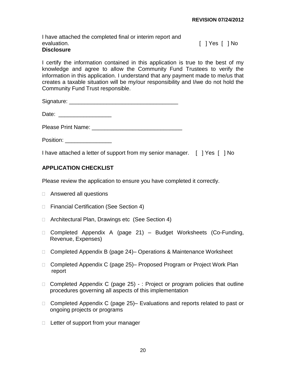I have attached the completed final or interim report and evaluation. The set of the set of the set of the set of the set of the set of the set of the set of the set of the set of the set of the set of the set of the set of the set of the set of the set of the set of the set of t **Disclosure**

I certify the information contained in this application is true to the best of my knowledge and agree to allow the Community Fund Trustees to verify the information in this application. I understand that any payment made to me/us that creates a taxable situation will be my/our responsibility and I/we do not hold the Community Fund Trust responsible.

Signature: \_\_\_\_\_\_\_\_\_\_\_\_\_\_\_\_\_\_\_\_\_\_\_\_\_\_\_\_\_\_\_\_\_\_\_

Please Print Name: \_\_\_\_\_\_\_\_\_\_\_\_\_\_\_\_\_\_\_\_\_\_\_\_\_\_\_\_\_

Position: \_\_\_\_\_\_\_\_\_\_\_\_\_\_\_

I have attached a letter of support from my senior manager. [ ] Yes [ ] No

#### **APPLICATION CHECKLIST**

Please review the application to ensure you have completed it correctly.

- □ Answered all questions
- □ Financial Certification (See Section 4)
- □ Architectural Plan, Drawings etc (See Section 4)
- Completed Appendix A (page 21) Budget Worksheets (Co-Funding, Revenue, Expenses)
- □ Completed Appendix B (page 24)– Operations & Maintenance Worksheet
- □ Completed Appendix C (page 25)– Proposed Program or Project Work Plan report
- □ Completed Appendix C (page 25) : Project or program policies that outline procedures governing all aspects of this implementation
- □ Completed Appendix C (page 25)– Evaluations and reports related to past or ongoing projects or programs
- $\Box$  Letter of support from your manager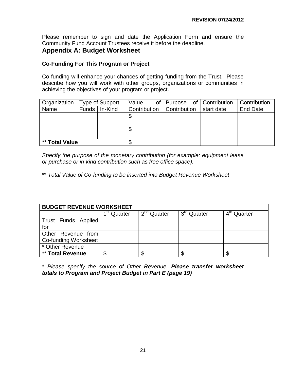Please remember to sign and date the Application Form and ensure the Community Fund Account Trustees receive it before the deadline.

### **Appendix A: Budget Worksheet**

#### **Co-Funding For This Program or Project**

Co-funding will enhance your chances of getting funding from the Trust. Please describe how you will work with other groups, organizations or communities in achieving the objectives of your program or project.

| Organization   | Type of Support |                 | Value                       | of   Purpose of   Contribution   Contribution |            |                 |
|----------------|-----------------|-----------------|-----------------------------|-----------------------------------------------|------------|-----------------|
| Name           |                 | Funds   In-Kind | Contribution   Contribution |                                               | start date | <b>End Date</b> |
|                |                 |                 | Æ                           |                                               |            |                 |
|                |                 |                 |                             |                                               |            |                 |
|                |                 |                 | c                           |                                               |            |                 |
|                |                 |                 |                             |                                               |            |                 |
| ** Total Value |                 | ጥ               |                             |                                               |            |                 |

*Specify the purpose of the monetary contribution (for example: equipment lease or purchase or in-kind contribution such as free office space).*

\*\* *Total Value of Co-funding to be inserted into Budget Revenue Worksheet*

| <b>BUDGET REVENUE WORKSHEET</b> |                                    |               |                         |                         |  |  |
|---------------------------------|------------------------------------|---------------|-------------------------|-------------------------|--|--|
|                                 | $\overline{1}^{\text{st}}$ Quarter | $2nd$ Quarter | 3 <sup>rd</sup> Quarter | 4 <sup>th</sup> Quarter |  |  |
| Trust Funds Applied             |                                    |               |                         |                         |  |  |
| for                             |                                    |               |                         |                         |  |  |
| Other Revenue from              |                                    |               |                         |                         |  |  |
| Co-funding Worksheet            |                                    |               |                         |                         |  |  |
| * Other Revenue                 |                                    |               |                         |                         |  |  |
| ** Total Revenue                | œ<br>Œ                             |               | ۰D                      |                         |  |  |

\* *Please specify the source of Other Revenue. Please transfer worksheet totals to Program and Project Budget in Part E (page 19)*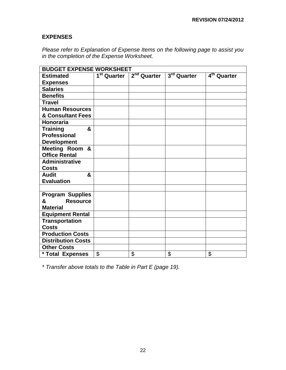## **EXPENSES**

*Please refer to Explanation of Expense Items on the following page to assist you in the completion of the Expense Worksheet.*

| <b>BUDGET EXPENSE WORKSHEET</b> |    |                                                 |             |                         |  |  |  |  |
|---------------------------------|----|-------------------------------------------------|-------------|-------------------------|--|--|--|--|
| <b>Estimated</b>                |    | 1 <sup>st</sup> Quarter 2 <sup>nd</sup> Quarter | 3rd Quarter | 4 <sup>th</sup> Quarter |  |  |  |  |
| <b>Expenses</b>                 |    |                                                 |             |                         |  |  |  |  |
| <b>Salaries</b>                 |    |                                                 |             |                         |  |  |  |  |
| <b>Benefits</b>                 |    |                                                 |             |                         |  |  |  |  |
| <b>Travel</b>                   |    |                                                 |             |                         |  |  |  |  |
| <b>Human Resources</b>          |    |                                                 |             |                         |  |  |  |  |
| & Consultant Fees               |    |                                                 |             |                         |  |  |  |  |
| Honoraria                       |    |                                                 |             |                         |  |  |  |  |
| <b>Training</b><br>&            |    |                                                 |             |                         |  |  |  |  |
| <b>Professional</b>             |    |                                                 |             |                         |  |  |  |  |
| <b>Development</b>              |    |                                                 |             |                         |  |  |  |  |
| Meeting Room &                  |    |                                                 |             |                         |  |  |  |  |
| <b>Office Rental</b>            |    |                                                 |             |                         |  |  |  |  |
| <b>Administrative</b>           |    |                                                 |             |                         |  |  |  |  |
| <b>Costs</b>                    |    |                                                 |             |                         |  |  |  |  |
| <b>Audit</b><br>&               |    |                                                 |             |                         |  |  |  |  |
| <b>Evaluation</b>               |    |                                                 |             |                         |  |  |  |  |
|                                 |    |                                                 |             |                         |  |  |  |  |
| <b>Program Supplies</b>         |    |                                                 |             |                         |  |  |  |  |
| &<br><b>Resource</b>            |    |                                                 |             |                         |  |  |  |  |
| <b>Material</b>                 |    |                                                 |             |                         |  |  |  |  |
| <b>Equipment Rental</b>         |    |                                                 |             |                         |  |  |  |  |
| <b>Transportation</b>           |    |                                                 |             |                         |  |  |  |  |
| <b>Costs</b>                    |    |                                                 |             |                         |  |  |  |  |
| <b>Production Costs</b>         |    |                                                 |             |                         |  |  |  |  |
| <b>Distribution Costs</b>       |    |                                                 |             |                         |  |  |  |  |
| <b>Other Costs</b>              |    |                                                 |             |                         |  |  |  |  |
| * Total Expenses                | \$ | \$                                              | \$          | \$                      |  |  |  |  |

*\* Transfer above totals to the Table in Part E (page 19).*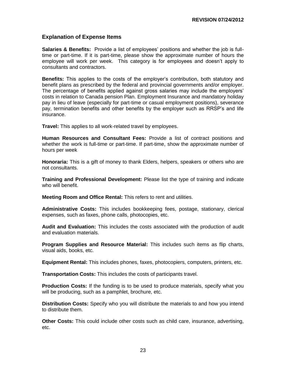#### **Explanation of Expense Items**

**Salaries & Benefits:** Provide a list of employees' positions and whether the job is fulltime or part-time. If it is part-time, please show the approximate number of hours the employee will work per week. This category is for employees and doesn't apply to consultants and contractors.

**Benefits:** This applies to the costs of the employer's contribution, both statutory and benefit plans as prescribed by the federal and provincial governments and/or employer. The percentage of benefits applied against gross salaries may include the employers' costs in relation to Canada pension Plan. Employment Insurance and mandatory holiday pay in lieu of leave (especially for part-time or casual employment positions), severance pay, termination benefits and other benefits by the employer such as RRSP's and life insurance.

**Travel:** This applies to all work-related travel by employees.

**Human Resources and Consultant Fees:** Provide a list of contract positions and whether the work is full-time or part-time. If part-time, show the approximate number of hours per week

**Honoraria:** This is a gift of money to thank Elders, helpers, speakers or others who are not consultants.

**Training and Professional Development:** Please list the type of training and indicate who will benefit.

**Meeting Room and Office Rental:** This refers to rent and utilities.

**Administrative Costs:** This includes bookkeeping fees, postage, stationary, clerical expenses, such as faxes, phone calls, photocopies, etc.

**Audit and Evaluation:** This includes the costs associated with the production of audit and evaluation materials.

**Program Supplies and Resource Material:** This includes such items as flip charts, visual aids, books, etc.

**Equipment Rental:** This includes phones, faxes, photocopiers, computers, printers, etc.

**Transportation Costs:** This includes the costs of participants travel.

**Production Costs:** If the funding is to be used to produce materials, specify what you will be producing, such as a pamphlet, brochure, etc.

**Distribution Costs:** Specify who you will distribute the materials to and how you intend to distribute them.

**Other Costs:** This could include other costs such as child care, insurance, advertising, etc.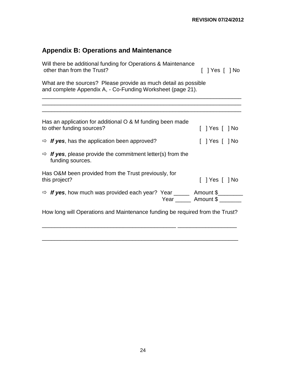# **Appendix B: Operations and Maintenance**

| Will there be additional funding for Operations & Maintenance<br>other than from the Trust?                                   | [ ] Yes [ ] No     |  |  |  |  |  |  |  |
|-------------------------------------------------------------------------------------------------------------------------------|--------------------|--|--|--|--|--|--|--|
| What are the sources? Please provide as much detail as possible<br>and complete Appendix A, - Co-Funding Worksheet (page 21). |                    |  |  |  |  |  |  |  |
|                                                                                                                               |                    |  |  |  |  |  |  |  |
| Has an application for additional O & M funding been made<br>to other funding sources?                                        |                    |  |  |  |  |  |  |  |
| $\Rightarrow$ If yes, has the application been approved?                                                                      | [ ] Yes [ ] No     |  |  |  |  |  |  |  |
| $\Rightarrow$ <b>If yes</b> , please provide the commitment letter(s) from the<br>funding sources.                            |                    |  |  |  |  |  |  |  |
| Has O&M been provided from the Trust previously, for<br>this project?                                                         | $[$   Yes $[$   No |  |  |  |  |  |  |  |
| $\Rightarrow$ If yes, how much was provided each year? Year _______ Amount \$_______                                          | Year Amount \$     |  |  |  |  |  |  |  |
| How long will Operations and Maintenance funding be required from the Trust?                                                  |                    |  |  |  |  |  |  |  |

\_\_\_\_\_\_\_\_\_\_\_\_\_\_\_\_\_\_\_\_\_\_\_\_\_\_\_\_\_\_\_\_\_\_\_\_\_\_\_\_\_\_\_\_\_\_\_\_\_\_\_\_\_\_\_\_\_\_\_\_\_\_\_

\_\_\_\_\_\_\_\_\_\_\_\_\_\_\_\_\_\_\_\_\_\_\_\_\_\_\_\_\_\_\_\_\_\_\_\_\_\_\_\_\_\_\_ \_\_\_\_\_\_\_\_\_\_\_\_\_\_\_\_\_\_\_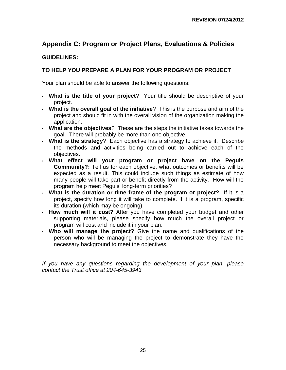# **Appendix C: Program or Project Plans, Evaluations & Policies**

#### **GUIDELINES:**

## **TO HELP YOU PREPARE A PLAN FOR YOUR PROGRAM OR PROJECT**

Your plan should be able to answer the following questions:

- **What is the title of your project**? Your title should be descriptive of your project.
- **What is the overall goal of the initiative**? This is the purpose and aim of the project and should fit in with the overall vision of the organization making the application.
- **What are the objectives**? These are the steps the initiative takes towards the goal. There will probably be more than one objective.
- **What is the strategy**? Each objective has a strategy to achieve it. Describe the methods and activities being carried out to achieve each of the objectives.
- **What effect will your program or project have on the Peguis Community?:** Tell us for each objective, what outcomes or benefits will be expected as a result. This could include such things as estimate of how many people will take part or benefit directly from the activity. How will the program help meet Peguis' long-term priorities?
- **What is the duration or time frame of the program or project?** If it is a project, specify how long it will take to complete. If it is a program, specific its duration (which may be ongoing).
- **How much will it cost?** After you have completed your budget and other supporting materials, please specify how much the overall project or program will cost and include it in your plan.
- **Who will manage the project?** Give the name and qualifications of the person who will be managing the project to demonstrate they have the necessary background to meet the objectives.

*If you have any questions regarding the development of your plan, please contact the Trust office at 204-645-3943.*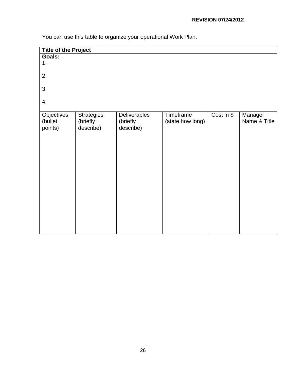You can use this table to organize your operational Work Plan.

| <b>Title of the Project</b>      |                                            |                                       |                               |            |                         |  |  |
|----------------------------------|--------------------------------------------|---------------------------------------|-------------------------------|------------|-------------------------|--|--|
| <b>Goals:</b>                    |                                            |                                       |                               |            |                         |  |  |
| 1.                               |                                            |                                       |                               |            |                         |  |  |
| 2.                               |                                            |                                       |                               |            |                         |  |  |
| 3.                               |                                            |                                       |                               |            |                         |  |  |
| 4.                               |                                            |                                       |                               |            |                         |  |  |
| Objectives<br>(bullet<br>points) | <b>Strategies</b><br>(briefly<br>describe) | Deliverables<br>(briefly<br>describe) | Timeframe<br>(state how long) | Cost in \$ | Manager<br>Name & Title |  |  |